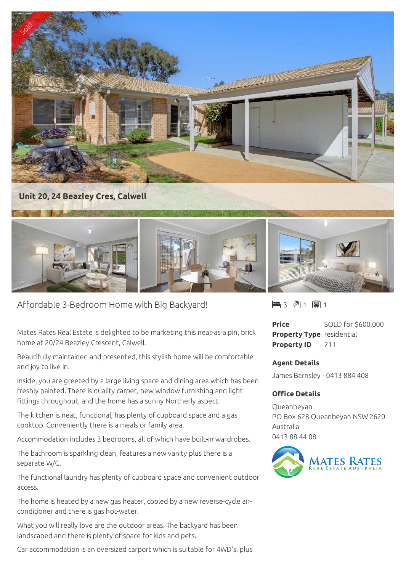

Affordable 3-Bedroom Home with Big Backyard!

Mates Rates Real Estate is delighted to be marketing this neat-as-a pin, brick home at 20/24 Beazley Crescent, Calwell.

Beautifully maintained and presented, this stylish home will be comfortable and joy to live in.

Inside, you are greeted by a large living space and dining area which has been freshly painted. There is quality carpet, new window furnishing and light fittings throughout, and the home has a sunny Northerly aspect.

The kitchen is neat, functional, has plenty of cupboard space and a gas cooktop. Conveniently there is a meals or family area.

Accommodation includes 3 bedrooms, all of which have built-in wardrobes.

The bathroom is sparkling clean, features a new vanity plus there is a separate W/C.

The functional laundry has plenty of cupboard space and convenient outdoor access.

The home is heated by a new gas heater, cooled by a new reverse-cycle airconditioner and there is gas hot-water.

What you will really love are the outdoor areas. The backyard has been landscaped and there is plenty of space for kids and pets.

Car accommodation is an oversized carport which is suitable for 4WD's, plus

3 1 1

**Price** SOLD for \$600,000 **Property Type** residential **Property ID** 211

## **Agent Details**

James Barnsley - 0413 884 408

## **Office Details**

Queanbeyan PO Box 628 Queanbeyan NSW 2620 Australia 0413 88 44 08